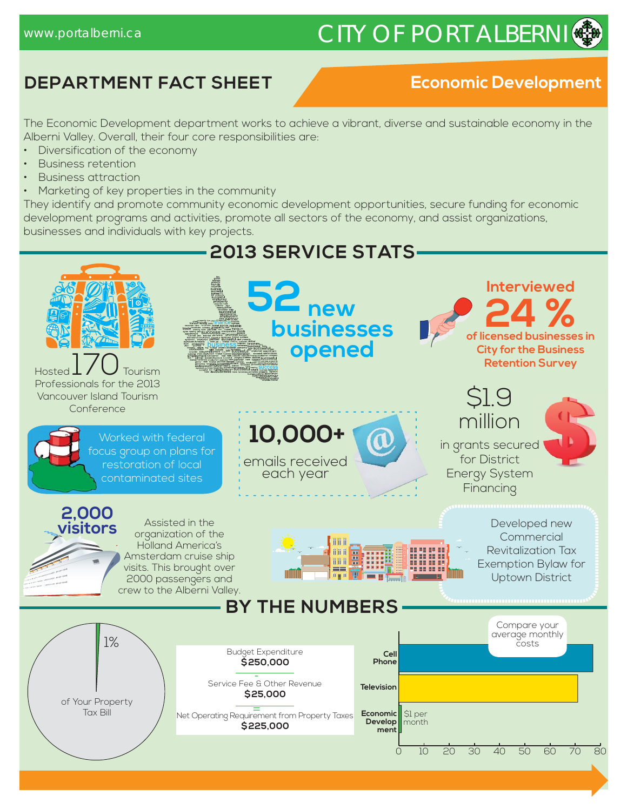# www.portalberni.ca CITY OF PORT ALBERNI

# **DEPARTMENT FACT SHEET**

### **Economic Development**

The Economic Development department works to achieve a vibrant, diverse and sustainable economy in the Alberni Valley. Overall, their four core responsibilities are:

- Diversification of the economy
- Business retention
- Business attraction
- Marketing of key properties in the community

They identify and promote community economic development opportunities, secure funding for economic development programs and activities, promote all sectors of the economy, and assist organizations, businesses and individuals with key projects.